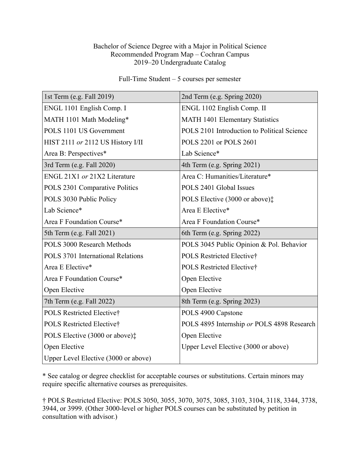## Bachelor of Science Degree with a Major in Political Science Recommended Program Map – Cochran Campus 2019–20 Undergraduate Catalog

Full-Time Student – 5 courses per semester

| 1st Term (e.g. Fall 2019)                | 2nd Term (e.g. Spring 2020)                 |
|------------------------------------------|---------------------------------------------|
|                                          |                                             |
| ENGL 1101 English Comp. I                | ENGL 1102 English Comp. II                  |
| MATH 1101 Math Modeling*                 | <b>MATH 1401 Elementary Statistics</b>      |
| POLS 1101 US Government                  | POLS 2101 Introduction to Political Science |
| HIST 2111 or 2112 US History I/II        | POLS 2201 or POLS 2601                      |
| Area B: Perspectives*                    | Lab Science*                                |
| 3rd Term (e.g. Fall 2020)                | 4th Term (e.g. Spring 2021)                 |
| ENGL 21X1 or 21X2 Literature             | Area C: Humanities/Literature*              |
| POLS 2301 Comparative Politics           | POLS 2401 Global Issues                     |
| POLS 3030 Public Policy                  | POLS Elective (3000 or above):              |
| Lab Science*                             | Area E Elective*                            |
| Area F Foundation Course*                | Area F Foundation Course*                   |
| 5th Term (e.g. Fall 2021)                | 6th Term (e.g. Spring 2022)                 |
| POLS 3000 Research Methods               | POLS 3045 Public Opinion & Pol. Behavior    |
| <b>POLS 3701 International Relations</b> | POLS Restricted Elective†                   |
| Area E Elective*                         | POLS Restricted Elective†                   |
| Area F Foundation Course*                | Open Elective                               |
| Open Elective                            | Open Elective                               |
| 7th Term (e.g. Fall 2022)                | 8th Term (e.g. Spring 2023)                 |
| POLS Restricted Elective†                | POLS 4900 Capstone                          |
| POLS Restricted Elective†                | POLS 4895 Internship or POLS 4898 Research  |
| POLS Elective (3000 or above):           | Open Elective                               |
| Open Elective                            | Upper Level Elective (3000 or above)        |
| Upper Level Elective (3000 or above)     |                                             |

\* See catalog or degree checklist for acceptable courses or substitutions. Certain minors may require specific alternative courses as prerequisites.

† POLS Restricted Elective: POLS 3050, 3055, 3070, 3075, 3085, 3103, 3104, 3118, 3344, 3738, 3944, or 3999. (Other 3000-level or higher POLS courses can be substituted by petition in consultation with advisor.)